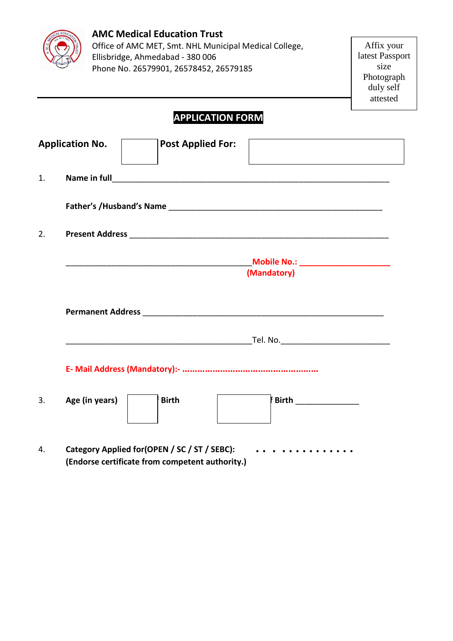

## **AMC Medical Education Trust**  Office of AMC MET, Smt. NHL Municipal Medical College, Ellisbridge, Ahmedabad - 380 006

Phone No. 26579901, 26578452, 26579185

| Affix your      |
|-----------------|
| latest Passport |
| size            |
| Photograph      |
| duly self       |
| attested        |

# **APPLICATION FORM**

|    | <b>Application No.</b>                        | <b>Post Applied For:</b>                        |                                    |
|----|-----------------------------------------------|-------------------------------------------------|------------------------------------|
| 1. |                                               |                                                 |                                    |
|    |                                               |                                                 |                                    |
| 2. |                                               |                                                 |                                    |
|    |                                               |                                                 | Mobile No.: ______________________ |
|    |                                               |                                                 | (Mandatory)                        |
|    |                                               |                                                 |                                    |
|    |                                               |                                                 |                                    |
|    |                                               |                                                 |                                    |
| 3. | Age (in years)                                | <b>Birth</b>                                    | Birth ______________               |
| 4. | Category Applied for (OPEN / SC / ST / SEBC): | (Endorse certificate from competent authority.) | . <b>.</b>                         |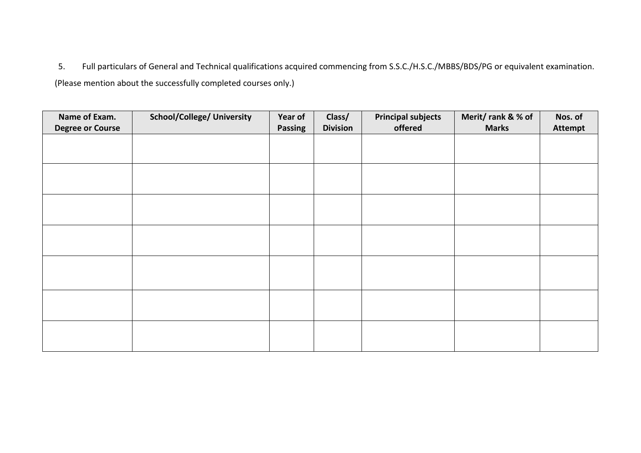5. Full particulars of General and Technical qualifications acquired commencing from S.S.C./H.S.C./MBBS/BDS/PG or equivalent examination. (Please mention about the successfully completed courses only.)

| Name of Exam.           | <b>School/College/ University</b> | Year of | Class/          | <b>Principal subjects</b> | Merit/rank & % of | Nos. of        |
|-------------------------|-----------------------------------|---------|-----------------|---------------------------|-------------------|----------------|
| <b>Degree or Course</b> |                                   | Passing | <b>Division</b> | offered                   | <b>Marks</b>      | <b>Attempt</b> |
|                         |                                   |         |                 |                           |                   |                |
|                         |                                   |         |                 |                           |                   |                |
|                         |                                   |         |                 |                           |                   |                |
|                         |                                   |         |                 |                           |                   |                |
|                         |                                   |         |                 |                           |                   |                |
|                         |                                   |         |                 |                           |                   |                |
|                         |                                   |         |                 |                           |                   |                |
|                         |                                   |         |                 |                           |                   |                |
|                         |                                   |         |                 |                           |                   |                |
|                         |                                   |         |                 |                           |                   |                |
|                         |                                   |         |                 |                           |                   |                |
|                         |                                   |         |                 |                           |                   |                |
|                         |                                   |         |                 |                           |                   |                |
|                         |                                   |         |                 |                           |                   |                |
|                         |                                   |         |                 |                           |                   |                |
|                         |                                   |         |                 |                           |                   |                |
|                         |                                   |         |                 |                           |                   |                |
|                         |                                   |         |                 |                           |                   |                |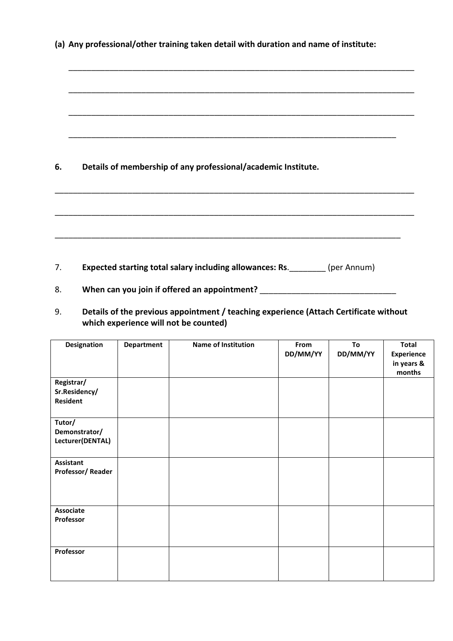|  |  |  | (a) Any professional/other training taken detail with duration and name of institute: |
|--|--|--|---------------------------------------------------------------------------------------|
|--|--|--|---------------------------------------------------------------------------------------|

\_\_\_\_\_\_\_\_\_\_\_\_\_\_\_\_\_\_\_\_\_\_\_\_\_\_\_\_\_\_\_\_\_\_\_\_\_\_\_\_\_\_\_\_\_\_\_\_\_\_\_\_\_\_\_\_\_\_\_\_\_\_\_\_\_\_\_\_\_\_\_\_\_\_\_\_

\_\_\_\_\_\_\_\_\_\_\_\_\_\_\_\_\_\_\_\_\_\_\_\_\_\_\_\_\_\_\_\_\_\_\_\_\_\_\_\_\_\_\_\_\_\_\_\_\_\_\_\_\_\_\_\_\_\_\_\_\_\_\_\_\_\_\_\_\_\_\_\_\_\_\_\_

\_\_\_\_\_\_\_\_\_\_\_\_\_\_\_\_\_\_\_\_\_\_\_\_\_\_\_\_\_\_\_\_\_\_\_\_\_\_\_\_\_\_\_\_\_\_\_\_\_\_\_\_\_\_\_\_\_\_\_\_\_\_\_\_\_\_\_\_\_\_\_\_\_\_\_\_

\_\_\_\_\_\_\_\_\_\_\_\_\_\_\_\_\_\_\_\_\_\_\_\_\_\_\_\_\_\_\_\_\_\_\_\_\_\_\_\_\_\_\_\_\_\_\_\_\_\_\_\_\_\_\_\_\_\_\_\_\_\_\_\_\_\_\_\_\_\_\_\_

\_\_\_\_\_\_\_\_\_\_\_\_\_\_\_\_\_\_\_\_\_\_\_\_\_\_\_\_\_\_\_\_\_\_\_\_\_\_\_\_\_\_\_\_\_\_\_\_\_\_\_\_\_\_\_\_\_\_\_\_\_\_\_\_\_\_\_\_\_\_\_\_\_\_\_\_\_\_\_

\_\_\_\_\_\_\_\_\_\_\_\_\_\_\_\_\_\_\_\_\_\_\_\_\_\_\_\_\_\_\_\_\_\_\_\_\_\_\_\_\_\_\_\_\_\_\_\_\_\_\_\_\_\_\_\_\_\_\_\_\_\_\_\_\_\_\_\_\_\_\_\_\_\_\_\_\_\_\_

\_\_\_\_\_\_\_\_\_\_\_\_\_\_\_\_\_\_\_\_\_\_\_\_\_\_\_\_\_\_\_\_\_\_\_\_\_\_\_\_\_\_\_\_\_\_\_\_\_\_\_\_\_\_\_\_\_\_\_\_\_\_\_\_\_\_\_\_\_\_\_\_\_\_\_\_

**6. Details of membership of any professional/academic Institute.**

7. **Expected starting total salary including allowances: Rs**.\_\_\_\_\_\_\_\_ (per Annum)

- 8. When can you join if offered an appointment? \_\_\_\_\_\_\_\_\_\_\_\_\_\_\_\_\_\_\_\_\_\_\_\_\_\_\_\_\_\_\_\_\_
- 9. **Details of the previous appointment / teaching experience (Attach Certificate without which experience will not be counted)**

| <b>Designation</b>                             | <b>Department</b> | Name of Institution | From<br>DD/MM/YY | To<br>DD/MM/YY | <b>Total</b><br><b>Experience</b><br>in years &<br>months |
|------------------------------------------------|-------------------|---------------------|------------------|----------------|-----------------------------------------------------------|
| Registrar/<br>Sr.Residency/<br><b>Resident</b> |                   |                     |                  |                |                                                           |
| Tutor/<br>Demonstrator/<br>Lecturer(DENTAL)    |                   |                     |                  |                |                                                           |
| <b>Assistant</b><br>Professor/Reader           |                   |                     |                  |                |                                                           |
| Associate<br>Professor                         |                   |                     |                  |                |                                                           |
| Professor                                      |                   |                     |                  |                |                                                           |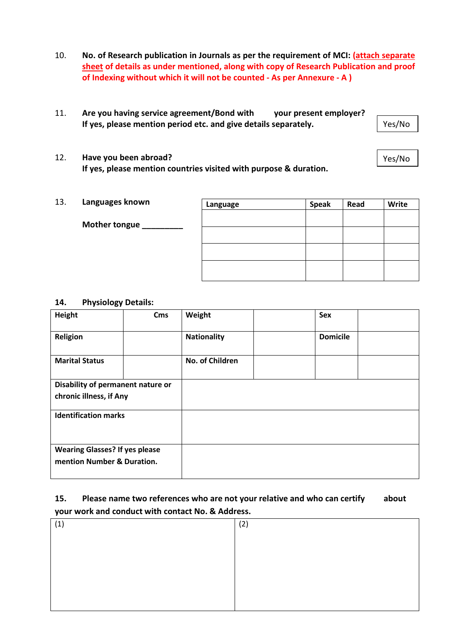- 10. **No. of Research publication in Journals as per the requirement of MCI: (attach separate sheet of details as under mentioned, along with copy of Research Publication and proof of Indexing without which it will not be counted - As per Annexure - A )**
- 11. **Are you having service agreement/Bond with your present employer? If yes, please mention period etc. and give details separately.**

Yes/No

Yes/No

- 12. **Have you been abroad? If yes, please mention countries visited with purpose & duration.**
- 13. **Languages known**

| Languages known      | Language | <b>Speak</b> | Read | Write |
|----------------------|----------|--------------|------|-------|
| <b>Mother tongue</b> |          |              |      |       |
|                      |          |              |      |       |
|                      |          |              |      |       |
|                      |          |              |      |       |

#### **14. Physiology Details:**

| Height                                                              | Cms | Weight             | <b>Sex</b>      |  |
|---------------------------------------------------------------------|-----|--------------------|-----------------|--|
| Religion                                                            |     | <b>Nationality</b> | <b>Domicile</b> |  |
| <b>Marital Status</b>                                               |     | No. of Children    |                 |  |
| Disability of permanent nature or<br>chronic illness, if Any        |     |                    |                 |  |
| <b>Identification marks</b>                                         |     |                    |                 |  |
| <b>Wearing Glasses? If yes please</b><br>mention Number & Duration. |     |                    |                 |  |

### **15. Please name two references who are not your relative and who can certify about your work and conduct with contact No. & Address.**

| (1, | (2) |
|-----|-----|
|     |     |
|     |     |
|     |     |
|     |     |
|     |     |
|     |     |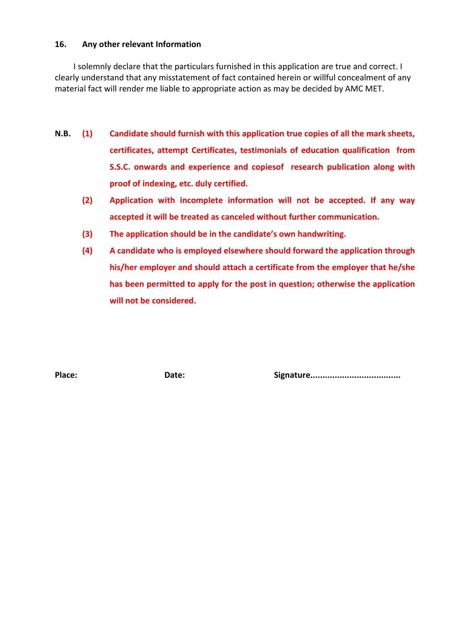#### **16. Any other relevant Information**

I solemnly declare that the particulars furnished in this application are true and correct. I clearly understand that any misstatement of fact contained herein or willful concealment of any material fact will render me liable to appropriate action as may be decided by AMC MET.

- **N.B. (1) Candidate should furnish with this application true copies of all the mark sheets, certificates, attempt Certificates, testimonials of education qualification from S.S.C. onwards and experience and copiesof research publication along with proof of indexing, etc. duly certified.** 
	- **(2) Application with incomplete information will not be accepted. If any way accepted it will be treated as canceled without further communication.**
	- **(3) The application should be in the candidate's own handwriting.**
	- **(4) A candidate who is employed elsewhere should forward the application through his/her employer and should attach a certificate from the employer that he/she has been permitted to apply for the post in question; otherwise the application will not be considered.**

**Place: Date: Signature.....................................**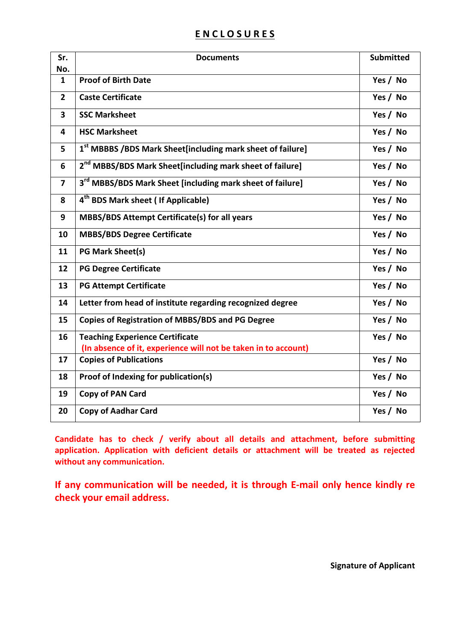# **E N C L O S U R E S**

| Sr.<br>No.              | <b>Documents</b>                                                                                         | <b>Submitted</b> |
|-------------------------|----------------------------------------------------------------------------------------------------------|------------------|
| $\mathbf{1}$            | <b>Proof of Birth Date</b>                                                                               | Yes / No         |
| $\overline{2}$          | <b>Caste Certificate</b>                                                                                 | Yes / No         |
| 3                       | <b>SSC Marksheet</b>                                                                                     | Yes / No         |
| 4                       | <b>HSC Marksheet</b>                                                                                     | Yes / No         |
| 5                       | 1st MBBBS / BDS Mark Sheet [including mark sheet of failure]                                             | Yes / No         |
| 6                       | 2 <sup>nd</sup> MBBS/BDS Mark Sheet[including mark sheet of failure]                                     | Yes / No         |
| $\overline{\mathbf{z}}$ | 3 <sup>rd</sup> MBBS/BDS Mark Sheet [including mark sheet of failure]                                    | Yes / No         |
| 8                       | 4 <sup>th</sup> BDS Mark sheet ( If Applicable)                                                          | Yes / No         |
| 9                       | MBBS/BDS Attempt Certificate(s) for all years                                                            | Yes / No         |
| 10                      | <b>MBBS/BDS Degree Certificate</b>                                                                       | Yes / No         |
| 11                      | <b>PG Mark Sheet(s)</b>                                                                                  | Yes / No         |
| 12                      | <b>PG Degree Certificate</b>                                                                             | Yes / No         |
| 13                      | <b>PG Attempt Certificate</b>                                                                            | Yes / No         |
| 14                      | Letter from head of institute regarding recognized degree                                                | Yes / No         |
| 15                      | <b>Copies of Registration of MBBS/BDS and PG Degree</b>                                                  | Yes / No         |
| 16                      | <b>Teaching Experience Certificate</b><br>(In absence of it, experience will not be taken in to account) | Yes / No         |
| 17                      | <b>Copies of Publications</b>                                                                            | Yes / No         |
| 18                      | Proof of Indexing for publication(s)                                                                     | Yes / No         |
| 19                      | <b>Copy of PAN Card</b>                                                                                  | Yes / No         |
| 20                      | <b>Copy of Aadhar Card</b>                                                                               | Yes / No         |

**Candidate has to check / verify about all details and attachment, before submitting application. Application with deficient details or attachment will be treated as rejected without any communication.** 

**If any communication will be needed, it is through E-mail only hence kindly re check your email address.** 

**Signature of Applicant**